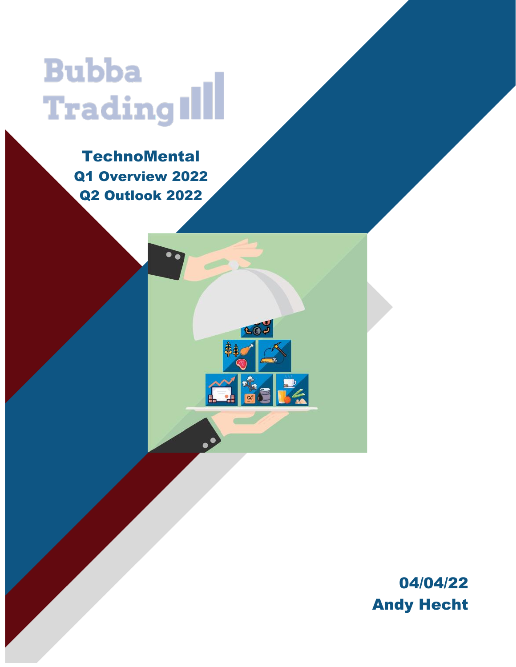# **Bubba** Trading Ill

**TechnoMental** Q1 Overview 2022 Q2 Outlook 2022

GOJ

**REA** 

 $\frac{D}{2}$ 

 $\widetilde{\Gamma}$ 

04/04/22 Andy Hecht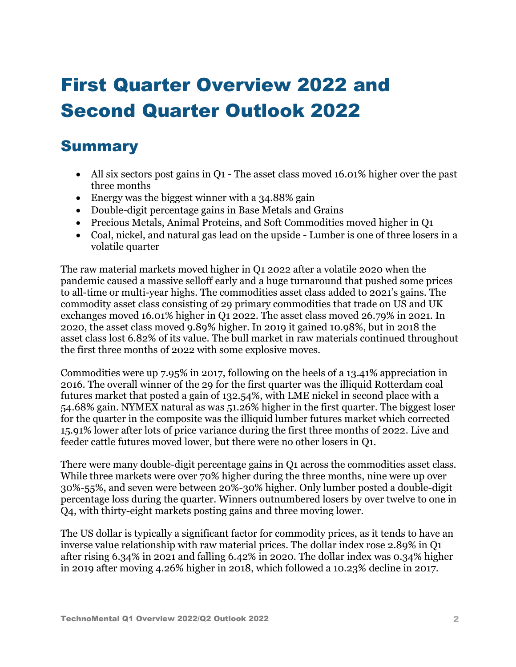## First Quarter Overview 2022 and Second Quarter Outlook 2022

#### Summary

- All six sectors post gains in Q1 The asset class moved 16.01% higher over the past three months
- Energy was the biggest winner with a 34.88% gain
- Double-digit percentage gains in Base Metals and Grains
- Precious Metals, Animal Proteins, and Soft Commodities moved higher in Q1
- Coal, nickel, and natural gas lead on the upside Lumber is one of three losers in a volatile quarter

The raw material markets moved higher in Q1 2022 after a volatile 2020 when the pandemic caused a massive selloff early and a huge turnaround that pushed some prices to all-time or multi-year highs. The commodities asset class added to 2021's gains. The commodity asset class consisting of 29 primary commodities that trade on US and UK exchanges moved 16.01% higher in Q1 2022. The asset class moved 26.79% in 2021. In 2020, the asset class moved 9.89% higher. In 2019 it gained 10.98%, but in 2018 the asset class lost 6.82% of its value. The bull market in raw materials continued throughout the first three months of 2022 with some explosive moves.

Commodities were up 7.95% in 2017, following on the heels of a 13.41% appreciation in 2016. The overall winner of the 29 for the first quarter was the illiquid Rotterdam coal futures market that posted a gain of 132.54%, with LME nickel in second place with a 54.68% gain. NYMEX natural as was 51.26% higher in the first quarter. The biggest loser for the quarter in the composite was the illiquid lumber futures market which corrected 15.91% lower after lots of price variance during the first three months of 2022. Live and feeder cattle futures moved lower, but there were no other losers in Q1.

There were many double-digit percentage gains in Q1 across the commodities asset class. While three markets were over 70% higher during the three months, nine were up over 30%-55%, and seven were between 20%-30% higher. Only lumber posted a double-digit percentage loss during the quarter. Winners outnumbered losers by over twelve to one in Q4, with thirty-eight markets posting gains and three moving lower.

The US dollar is typically a significant factor for commodity prices, as it tends to have an inverse value relationship with raw material prices. The dollar index rose 2.89% in Q1 after rising 6.34% in 2021 and falling 6.42% in 2020. The dollar index was 0.34% higher in 2019 after moving 4.26% higher in 2018, which followed a 10.23% decline in 2017.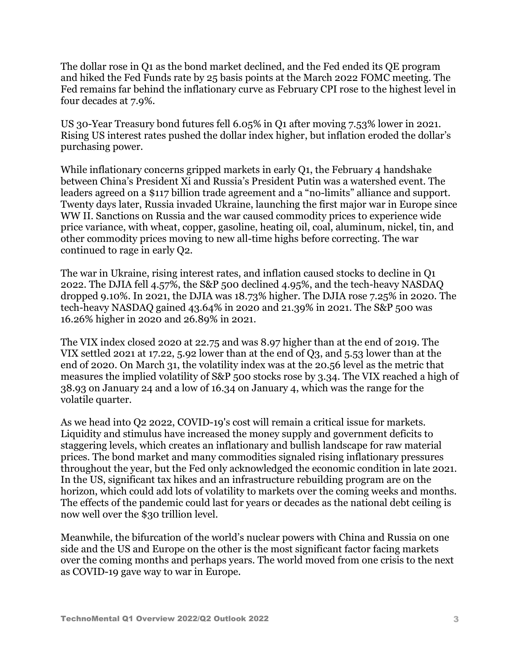The dollar rose in Q1 as the bond market declined, and the Fed ended its QE program and hiked the Fed Funds rate by 25 basis points at the March 2022 FOMC meeting. The Fed remains far behind the inflationary curve as February CPI rose to the highest level in four decades at 7.9%.

US 30-Year Treasury bond futures fell 6.05% in Q1 after moving 7.53% lower in 2021. Rising US interest rates pushed the dollar index higher, but inflation eroded the dollar's purchasing power.

While inflationary concerns gripped markets in early Q1, the February 4 handshake between China's President Xi and Russia's President Putin was a watershed event. The leaders agreed on a \$117 billion trade agreement and a "no-limits" alliance and support. Twenty days later, Russia invaded Ukraine, launching the first major war in Europe since WW II. Sanctions on Russia and the war caused commodity prices to experience wide price variance, with wheat, copper, gasoline, heating oil, coal, aluminum, nickel, tin, and other commodity prices moving to new all-time highs before correcting. The war continued to rage in early Q2.

The war in Ukraine, rising interest rates, and inflation caused stocks to decline in Q1 2022. The DJIA fell 4.57%, the S&P 500 declined 4.95%, and the tech-heavy NASDAQ dropped 9.10%. In 2021, the DJIA was 18.73% higher. The DJIA rose 7.25% in 2020. The tech-heavy NASDAQ gained 43.64% in 2020 and 21.39% in 2021. The S&P 500 was 16.26% higher in 2020 and 26.89% in 2021.

The VIX index closed 2020 at 22.75 and was 8.97 higher than at the end of 2019. The VIX settled 2021 at 17.22, 5.92 lower than at the end of Q3, and 5.53 lower than at the end of 2020. On March 31, the volatility index was at the 20.56 level as the metric that measures the implied volatility of S&P 500 stocks rose by 3.34. The VIX reached a high of 38.93 on January 24 and a low of 16.34 on January 4, which was the range for the volatile quarter.

As we head into Q2 2022, COVID-19's cost will remain a critical issue for markets. Liquidity and stimulus have increased the money supply and government deficits to staggering levels, which creates an inflationary and bullish landscape for raw material prices. The bond market and many commodities signaled rising inflationary pressures throughout the year, but the Fed only acknowledged the economic condition in late 2021. In the US, significant tax hikes and an infrastructure rebuilding program are on the horizon, which could add lots of volatility to markets over the coming weeks and months. The effects of the pandemic could last for years or decades as the national debt ceiling is now well over the \$30 trillion level.

Meanwhile, the bifurcation of the world's nuclear powers with China and Russia on one side and the US and Europe on the other is the most significant factor facing markets over the coming months and perhaps years. The world moved from one crisis to the next as COVID-19 gave way to war in Europe.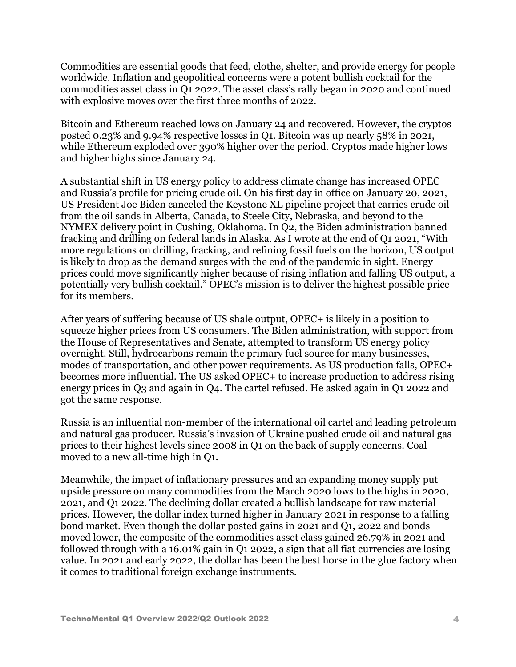Commodities are essential goods that feed, clothe, shelter, and provide energy for people worldwide. Inflation and geopolitical concerns were a potent bullish cocktail for the commodities asset class in Q1 2022. The asset class's rally began in 2020 and continued with explosive moves over the first three months of 2022.

Bitcoin and Ethereum reached lows on January 24 and recovered. However, the cryptos posted 0.23% and 9.94% respective losses in Q1. Bitcoin was up nearly 58% in 2021, while Ethereum exploded over 390% higher over the period. Cryptos made higher lows and higher highs since January 24.

A substantial shift in US energy policy to address climate change has increased OPEC and Russia's profile for pricing crude oil. On his first day in office on January 20, 2021, US President Joe Biden canceled the Keystone XL pipeline project that carries crude oil from the oil sands in Alberta, Canada, to Steele City, Nebraska, and beyond to the NYMEX delivery point in Cushing, Oklahoma. In Q2, the Biden administration banned fracking and drilling on federal lands in Alaska. As I wrote at the end of Q1 2021, "With more regulations on drilling, fracking, and refining fossil fuels on the horizon, US output is likely to drop as the demand surges with the end of the pandemic in sight. Energy prices could move significantly higher because of rising inflation and falling US output, a potentially very bullish cocktail." OPEC's mission is to deliver the highest possible price for its members.

After years of suffering because of US shale output, OPEC+ is likely in a position to squeeze higher prices from US consumers. The Biden administration, with support from the House of Representatives and Senate, attempted to transform US energy policy overnight. Still, hydrocarbons remain the primary fuel source for many businesses, modes of transportation, and other power requirements. As US production falls, OPEC+ becomes more influential. The US asked OPEC+ to increase production to address rising energy prices in Q3 and again in Q4. The cartel refused. He asked again in Q1 2022 and got the same response.

Russia is an influential non-member of the international oil cartel and leading petroleum and natural gas producer. Russia's invasion of Ukraine pushed crude oil and natural gas prices to their highest levels since 2008 in Q1 on the back of supply concerns. Coal moved to a new all-time high in Q1.

Meanwhile, the impact of inflationary pressures and an expanding money supply put upside pressure on many commodities from the March 2020 lows to the highs in 2020, 2021, and Q1 2022. The declining dollar created a bullish landscape for raw material prices. However, the dollar index turned higher in January 2021 in response to a falling bond market. Even though the dollar posted gains in 2021 and Q1, 2022 and bonds moved lower, the composite of the commodities asset class gained 26.79% in 2021 and followed through with a 16.01% gain in Q1 2022, a sign that all fiat currencies are losing value. In 2021 and early 2022, the dollar has been the best horse in the glue factory when it comes to traditional foreign exchange instruments.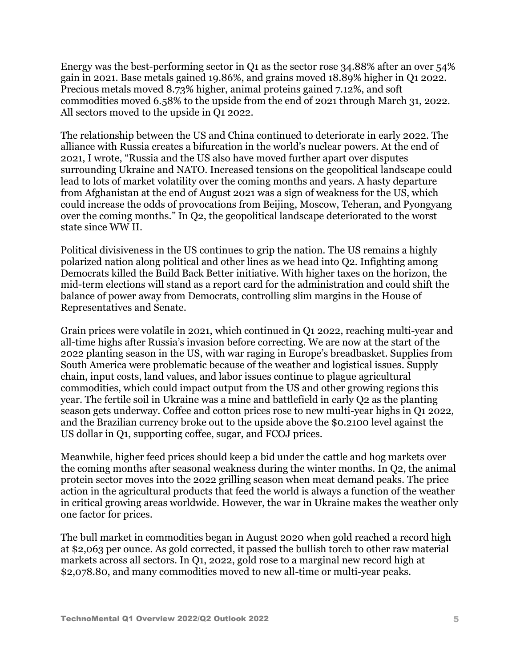Energy was the best-performing sector in Q1 as the sector rose 34.88% after an over 54% gain in 2021. Base metals gained 19.86%, and grains moved 18.89% higher in Q1 2022. Precious metals moved 8.73% higher, animal proteins gained 7.12%, and soft commodities moved 6.58% to the upside from the end of 2021 through March 31, 2022. All sectors moved to the upside in Q1 2022.

The relationship between the US and China continued to deteriorate in early 2022. The alliance with Russia creates a bifurcation in the world's nuclear powers. At the end of 2021, I wrote, "Russia and the US also have moved further apart over disputes surrounding Ukraine and NATO. Increased tensions on the geopolitical landscape could lead to lots of market volatility over the coming months and years. A hasty departure from Afghanistan at the end of August 2021 was a sign of weakness for the US, which could increase the odds of provocations from Beijing, Moscow, Teheran, and Pyongyang over the coming months." In Q2, the geopolitical landscape deteriorated to the worst state since WW II.

Political divisiveness in the US continues to grip the nation. The US remains a highly polarized nation along political and other lines as we head into Q2. Infighting among Democrats killed the Build Back Better initiative. With higher taxes on the horizon, the mid-term elections will stand as a report card for the administration and could shift the balance of power away from Democrats, controlling slim margins in the House of Representatives and Senate.

Grain prices were volatile in 2021, which continued in Q1 2022, reaching multi-year and all-time highs after Russia's invasion before correcting. We are now at the start of the 2022 planting season in the US, with war raging in Europe's breadbasket. Supplies from South America were problematic because of the weather and logistical issues. Supply chain, input costs, land values, and labor issues continue to plague agricultural commodities, which could impact output from the US and other growing regions this year. The fertile soil in Ukraine was a mine and battlefield in early Q2 as the planting season gets underway. Coffee and cotton prices rose to new multi-year highs in Q1 2022, and the Brazilian currency broke out to the upside above the \$0.2100 level against the US dollar in Q1, supporting coffee, sugar, and FCOJ prices.

Meanwhile, higher feed prices should keep a bid under the cattle and hog markets over the coming months after seasonal weakness during the winter months. In Q2, the animal protein sector moves into the 2022 grilling season when meat demand peaks. The price action in the agricultural products that feed the world is always a function of the weather in critical growing areas worldwide. However, the war in Ukraine makes the weather only one factor for prices.

The bull market in commodities began in August 2020 when gold reached a record high at \$2,063 per ounce. As gold corrected, it passed the bullish torch to other raw material markets across all sectors. In Q1, 2022, gold rose to a marginal new record high at \$2,078.80, and many commodities moved to new all-time or multi-year peaks.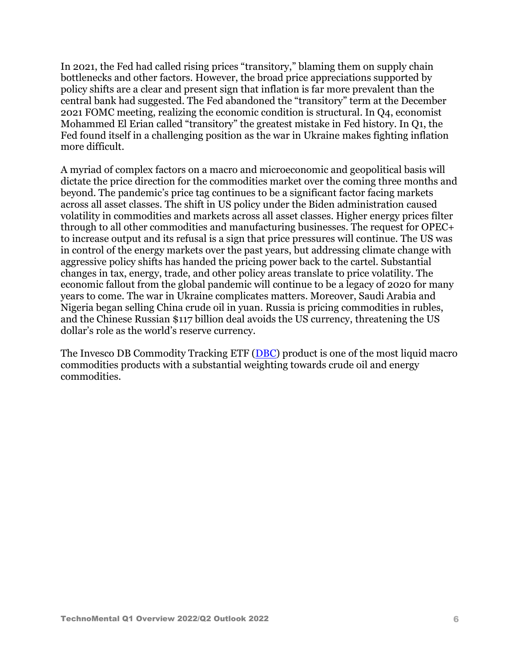In 2021, the Fed had called rising prices "transitory," blaming them on supply chain bottlenecks and other factors. However, the broad price appreciations supported by policy shifts are a clear and present sign that inflation is far more prevalent than the central bank had suggested. The Fed abandoned the "transitory" term at the December 2021 FOMC meeting, realizing the economic condition is structural. In Q4, economist Mohammed El Erian called "transitory" the greatest mistake in Fed history. In Q1, the Fed found itself in a challenging position as the war in Ukraine makes fighting inflation more difficult.

A myriad of complex factors on a macro and microeconomic and geopolitical basis will dictate the price direction for the commodities market over the coming three months and beyond. The pandemic's price tag continues to be a significant factor facing markets across all asset classes. The shift in US policy under the Biden administration caused volatility in commodities and markets across all asset classes. Higher energy prices filter through to all other commodities and manufacturing businesses. The request for OPEC+ to increase output and its refusal is a sign that price pressures will continue. The US was in control of the energy markets over the past years, but addressing climate change with aggressive policy shifts has handed the pricing power back to the cartel. Substantial changes in tax, energy, trade, and other policy areas translate to price volatility. The economic fallout from the global pandemic will continue to be a legacy of 2020 for many years to come. The war in Ukraine complicates matters. Moreover, Saudi Arabia and Nigeria began selling China crude oil in yuan. Russia is pricing commodities in rubles, and the Chinese Russian \$117 billion deal avoids the US currency, threatening the US dollar's role as the world's reserve currency.

The Invesco DB Commodity Tracking ETF [\(DBC\)](https://seekingalpha.com/symbol/DBC) product is one of the most liquid macro commodities products with a substantial weighting towards crude oil and energy commodities.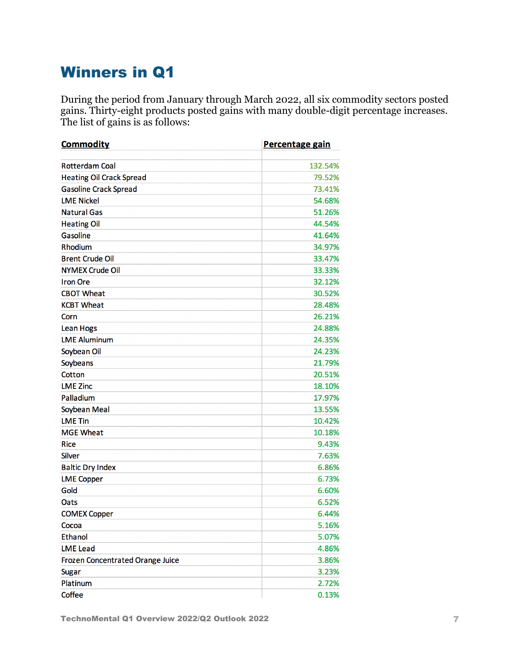## Winners in Q1

During the period from January through March 2022, all six commodity sectors posted gains. Thirty-eight products posted gains with many double-digit percentage increases. The list of gains is as follows:

| <b>Commodity</b>                 | Percentage gain |  |
|----------------------------------|-----------------|--|
| <b>Rotterdam Coal</b>            | 132.54%         |  |
| <b>Heating Oil Crack Spread</b>  | 79.52%          |  |
| <b>Gasoline Crack Spread</b>     | 73.41%          |  |
| <b>LME Nickel</b>                | 54.68%          |  |
| <b>Natural Gas</b>               | 51.26%          |  |
| <b>Heating Oil</b>               | 44.54%          |  |
| Gasoline                         | 41.64%          |  |
| Rhodium                          | 34.97%          |  |
| <b>Brent Crude Oil</b>           | 33.47%          |  |
| <b>NYMEX Crude Oil</b>           | 33.33%          |  |
| <b>Iron Ore</b>                  | 32.12%          |  |
| <b>CBOT Wheat</b>                | 30.52%          |  |
| <b>KCBT Wheat</b>                | 28.48%          |  |
| Corn                             | 26.21%          |  |
| <b>Lean Hogs</b>                 | 24.88%          |  |
| <b>LME Aluminum</b>              | 24.35%          |  |
| Soybean Oil                      | 24.23%          |  |
| Soybeans                         | 21.79%          |  |
| Cotton                           | 20.51%          |  |
| <b>LME Zinc</b>                  | 18.10%          |  |
| Palladium                        | 17.97%          |  |
| Soybean Meal                     | 13.55%          |  |
| <b>LME Tin</b>                   | 10.42%          |  |
| <b>MGE Wheat</b>                 | 10.18%          |  |
| <b>Rice</b>                      | 9.43%           |  |
| <b>Silver</b>                    | 7.63%           |  |
| <b>Baltic Dry Index</b>          | 6.86%           |  |
| <b>LME Copper</b>                | 6.73%           |  |
| Gold                             | 6.60%           |  |
| Oats                             | 6.52%           |  |
| <b>COMEX Copper</b>              | 6.44%           |  |
| Cocoa                            | 5.16%           |  |
| <b>Ethanol</b>                   | 5.07%           |  |
| <b>LME Lead</b>                  | 4.86%           |  |
| Frozen Concentrated Orange Juice | 3.86%           |  |
| <b>Sugar</b>                     | 3.23%           |  |
| Platinum                         | 2.72%           |  |
| Coffee                           | 0.13%           |  |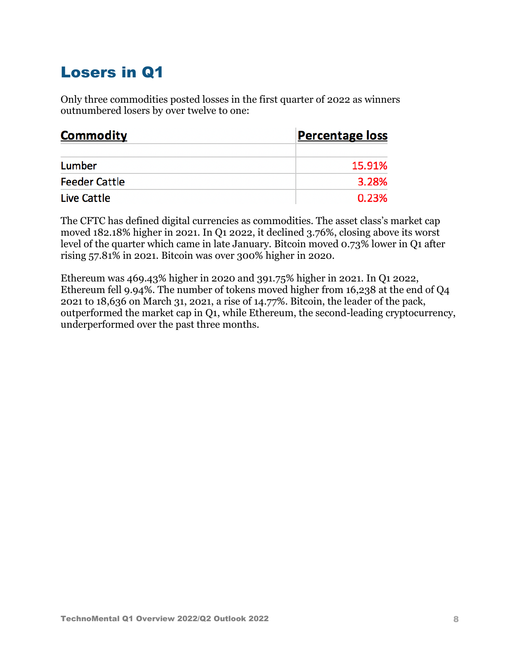## Losers in Q1

Only three commodities posted losses in the first quarter of 2022 as winners outnumbered losers by over twelve to one:

| <b>Commodity</b>     | <b>Percentage loss</b> |
|----------------------|------------------------|
| Lumber               | 15.91%                 |
| <b>Feeder Cattle</b> | 3.28%                  |
| Live Cattle          | 0.23%                  |

The CFTC has defined digital currencies as commodities. The asset class's market cap moved 182.18% higher in 2021. In Q1 2022, it declined 3.76%, closing above its worst level of the quarter which came in late January. Bitcoin moved 0.73% lower in Q1 after rising 57.81% in 2021. Bitcoin was over 300% higher in 2020.

Ethereum was 469.43% higher in 2020 and 391.75% higher in 2021. In Q1 2022, Ethereum fell 9.94%. The number of tokens moved higher from 16,238 at the end of Q4 2021 to 18,636 on March 31, 2021, a rise of 14.77%. Bitcoin, the leader of the pack, outperformed the market cap in Q1, while Ethereum, the second-leading cryptocurrency, underperformed over the past three months.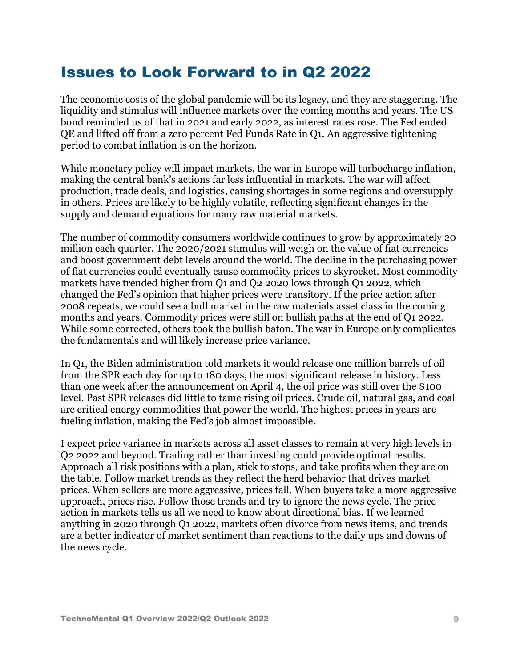### Issues to Look Forward to in Q2 2022

The economic costs of the global pandemic will be its legacy, and they are staggering. The liquidity and stimulus will influence markets over the coming months and years. The US bond reminded us of that in 2021 and early 2022, as interest rates rose. The Fed ended QE and lifted off from a zero percent Fed Funds Rate in Q1. An aggressive tightening period to combat inflation is on the horizon.

While monetary policy will impact markets, the war in Europe will turbocharge inflation, making the central bank's actions far less influential in markets. The war will affect production, trade deals, and logistics, causing shortages in some regions and oversupply in others. Prices are likely to be highly volatile, reflecting significant changes in the supply and demand equations for many raw material markets.

The number of commodity consumers worldwide continues to grow by approximately 20 million each quarter. The 2020/2021 stimulus will weigh on the value of fiat currencies and boost government debt levels around the world. The decline in the purchasing power of fiat currencies could eventually cause commodity prices to skyrocket. Most commodity markets have trended higher from Q1 and Q2 2020 lows through Q1 2022, which changed the Fed's opinion that higher prices were transitory. If the price action after 2008 repeats, we could see a bull market in the raw materials asset class in the coming months and years. Commodity prices were still on bullish paths at the end of Q1 2022. While some corrected, others took the bullish baton. The war in Europe only complicates the fundamentals and will likely increase price variance.

In Q1, the Biden administration told markets it would release one million barrels of oil from the SPR each day for up to 180 days, the most significant release in history. Less than one week after the announcement on April 4, the oil price was still over the \$100 level. Past SPR releases did little to tame rising oil prices. Crude oil, natural gas, and coal are critical energy commodities that power the world. The highest prices in years are fueling inflation, making the Fed's job almost impossible.

I expect price variance in markets across all asset classes to remain at very high levels in Q2 2022 and beyond. Trading rather than investing could provide optimal results. Approach all risk positions with a plan, stick to stops, and take profits when they are on the table. Follow market trends as they reflect the herd behavior that drives market prices. When sellers are more aggressive, prices fall. When buyers take a more aggressive approach, prices rise. Follow those trends and try to ignore the news cycle. The price action in markets tells us all we need to know about directional bias. If we learned anything in 2020 through Q1 2022, markets often divorce from news items, and trends are a better indicator of market sentiment than reactions to the daily ups and downs of the news cycle.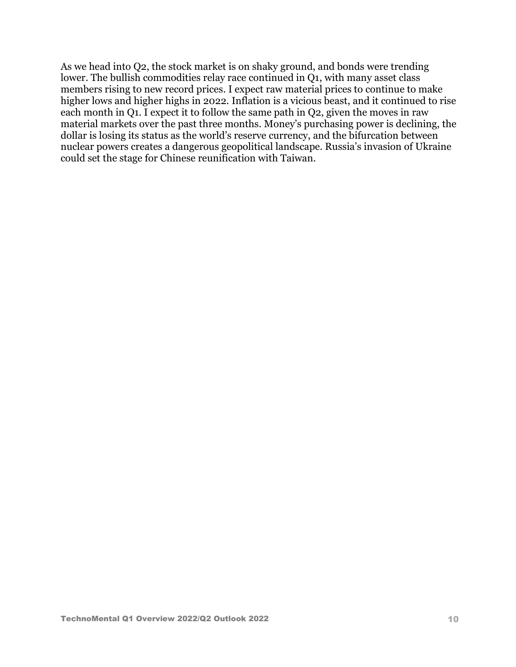As we head into Q2, the stock market is on shaky ground, and bonds were trending lower. The bullish commodities relay race continued in Q1, with many asset class members rising to new record prices. I expect raw material prices to continue to make higher lows and higher highs in 2022. Inflation is a vicious beast, and it continued to rise each month in Q1. I expect it to follow the same path in Q2, given the moves in raw material markets over the past three months. Money's purchasing power is declining, the dollar is losing its status as the world's reserve currency, and the bifurcation between nuclear powers creates a dangerous geopolitical landscape. Russia's invasion of Ukraine could set the stage for Chinese reunification with Taiwan.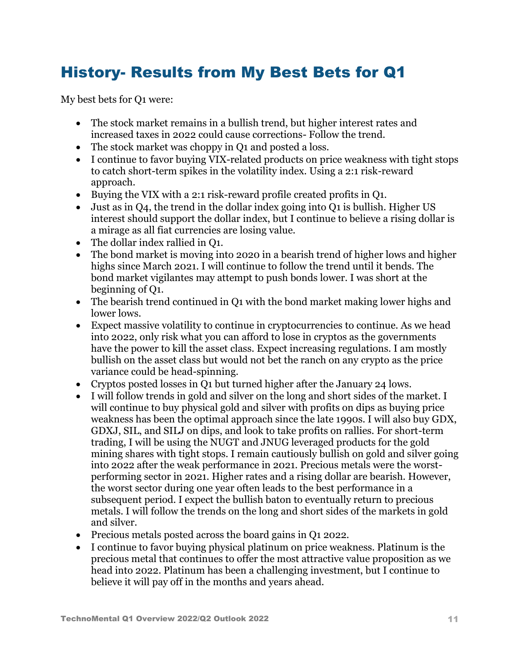## History- Results from My Best Bets for Q1

My best bets for Q1 were:

- The stock market remains in a bullish trend, but higher interest rates and increased taxes in 2022 could cause corrections- Follow the trend.
- The stock market was choppy in Q1 and posted a loss.
- I continue to favor buying VIX-related products on price weakness with tight stops to catch short-term spikes in the volatility index. Using a 2:1 risk-reward approach.
- Buying the VIX with a 2:1 risk-reward profile created profits in Q1.
- Just as in Q4, the trend in the dollar index going into Q1 is bullish. Higher US interest should support the dollar index, but I continue to believe a rising dollar is a mirage as all fiat currencies are losing value.
- The dollar index rallied in O1.
- The bond market is moving into 2020 in a bearish trend of higher lows and higher highs since March 2021. I will continue to follow the trend until it bends. The bond market vigilantes may attempt to push bonds lower. I was short at the beginning of Q1.
- The bearish trend continued in Q1 with the bond market making lower highs and lower lows.
- Expect massive volatility to continue in cryptocurrencies to continue. As we head into 2022, only risk what you can afford to lose in cryptos as the governments have the power to kill the asset class. Expect increasing regulations. I am mostly bullish on the asset class but would not bet the ranch on any crypto as the price variance could be head-spinning.
- Cryptos posted losses in Q1 but turned higher after the January 24 lows.
- I will follow trends in gold and silver on the long and short sides of the market. I will continue to buy physical gold and silver with profits on dips as buying price weakness has been the optimal approach since the late 1990s. I will also buy GDX, GDXJ, SIL, and SILJ on dips, and look to take profits on rallies. For short-term trading, I will be using the NUGT and JNUG leveraged products for the gold mining shares with tight stops. I remain cautiously bullish on gold and silver going into 2022 after the weak performance in 2021. Precious metals were the worstperforming sector in 2021. Higher rates and a rising dollar are bearish. However, the worst sector during one year often leads to the best performance in a subsequent period. I expect the bullish baton to eventually return to precious metals. I will follow the trends on the long and short sides of the markets in gold and silver.
- Precious metals posted across the board gains in O1 2022.
- I continue to favor buying physical platinum on price weakness. Platinum is the precious metal that continues to offer the most attractive value proposition as we head into 2022. Platinum has been a challenging investment, but I continue to believe it will pay off in the months and years ahead.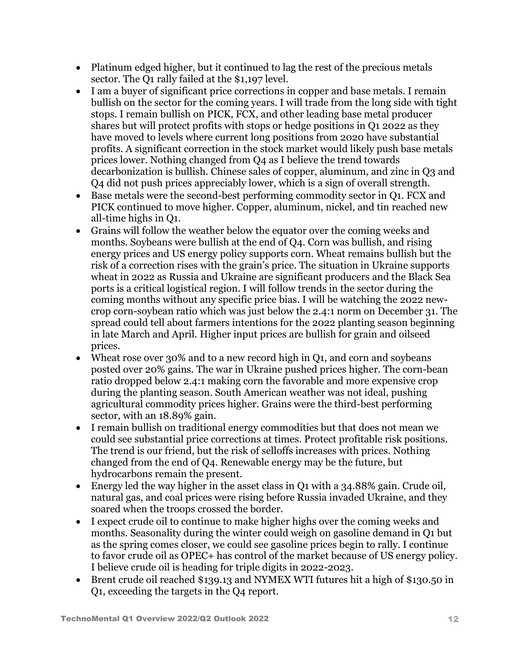- Platinum edged higher, but it continued to lag the rest of the precious metals sector. The Q1 rally failed at the \$1,197 level.
- I am a buyer of significant price corrections in copper and base metals. I remain bullish on the sector for the coming years. I will trade from the long side with tight stops. I remain bullish on PICK, FCX, and other leading base metal producer shares but will protect profits with stops or hedge positions in Q1 2022 as they have moved to levels where current long positions from 2020 have substantial profits. A significant correction in the stock market would likely push base metals prices lower. Nothing changed from Q4 as I believe the trend towards decarbonization is bullish. Chinese sales of copper, aluminum, and zinc in Q3 and Q4 did not push prices appreciably lower, which is a sign of overall strength.
- Base metals were the second-best performing commodity sector in O1. FCX and PICK continued to move higher. Copper, aluminum, nickel, and tin reached new all-time highs in Q1.
- Grains will follow the weather below the equator over the coming weeks and months. Soybeans were bullish at the end of Q4. Corn was bullish, and rising energy prices and US energy policy supports corn. Wheat remains bullish but the risk of a correction rises with the grain's price. The situation in Ukraine supports wheat in 2022 as Russia and Ukraine are significant producers and the Black Sea ports is a critical logistical region. I will follow trends in the sector during the coming months without any specific price bias. I will be watching the 2022 newcrop corn-soybean ratio which was just below the 2.4:1 norm on December 31. The spread could tell about farmers intentions for the 2022 planting season beginning in late March and April. Higher input prices are bullish for grain and oilseed prices.
- Wheat rose over 30% and to a new record high in O1, and corn and sovbeans posted over 20% gains. The war in Ukraine pushed prices higher. The corn-bean ratio dropped below 2.4:1 making corn the favorable and more expensive crop during the planting season. South American weather was not ideal, pushing agricultural commodity prices higher. Grains were the third-best performing sector, with an 18.89% gain.
- I remain bullish on traditional energy commodities but that does not mean we could see substantial price corrections at times. Protect profitable risk positions. The trend is our friend, but the risk of selloffs increases with prices. Nothing changed from the end of Q4. Renewable energy may be the future, but hydrocarbons remain the present.
- Energy led the way higher in the asset class in Q1 with a 34.88% gain. Crude oil, natural gas, and coal prices were rising before Russia invaded Ukraine, and they soared when the troops crossed the border.
- I expect crude oil to continue to make higher highs over the coming weeks and months. Seasonality during the winter could weigh on gasoline demand in Q1 but as the spring comes closer, we could see gasoline prices begin to rally. I continue to favor crude oil as OPEC+ has control of the market because of US energy policy. I believe crude oil is heading for triple digits in 2022-2023.
- Brent crude oil reached \$139.13 and NYMEX WTI futures hit a high of \$130.50 in Q1, exceeding the targets in the Q4 report.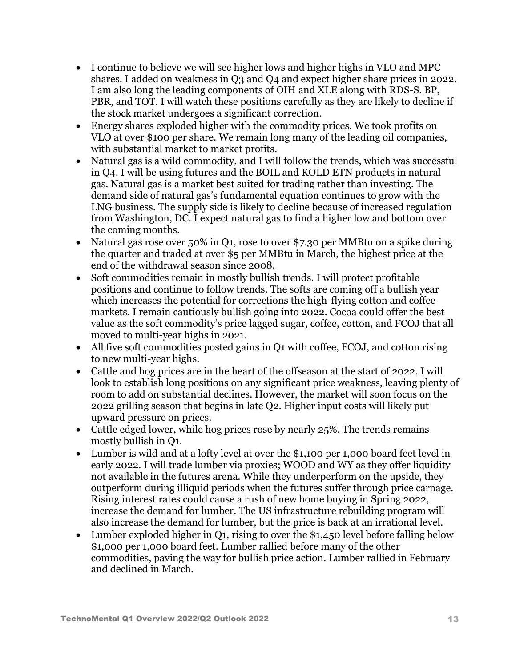- I continue to believe we will see higher lows and higher highs in VLO and MPC shares. I added on weakness in Q3 and Q4 and expect higher share prices in 2022. I am also long the leading components of OIH and XLE along with RDS-S. BP, PBR, and TOT. I will watch these positions carefully as they are likely to decline if the stock market undergoes a significant correction.
- Energy shares exploded higher with the commodity prices. We took profits on VLO at over \$100 per share. We remain long many of the leading oil companies, with substantial market to market profits.
- Natural gas is a wild commodity, and I will follow the trends, which was successful in Q4. I will be using futures and the BOIL and KOLD ETN products in natural gas. Natural gas is a market best suited for trading rather than investing. The demand side of natural gas's fundamental equation continues to grow with the LNG business. The supply side is likely to decline because of increased regulation from Washington, DC. I expect natural gas to find a higher low and bottom over the coming months.
- Natural gas rose over 50% in Q1, rose to over \$7.30 per MMBtu on a spike during the quarter and traded at over \$5 per MMBtu in March, the highest price at the end of the withdrawal season since 2008.
- Soft commodities remain in mostly bullish trends. I will protect profitable positions and continue to follow trends. The softs are coming off a bullish year which increases the potential for corrections the high-flying cotton and coffee markets. I remain cautiously bullish going into 2022. Cocoa could offer the best value as the soft commodity's price lagged sugar, coffee, cotton, and FCOJ that all moved to multi-year highs in 2021.
- All five soft commodities posted gains in Q1 with coffee, FCOJ, and cotton rising to new multi-year highs.
- Cattle and hog prices are in the heart of the offseason at the start of 2022. I will look to establish long positions on any significant price weakness, leaving plenty of room to add on substantial declines. However, the market will soon focus on the 2022 grilling season that begins in late Q2. Higher input costs will likely put upward pressure on prices.
- Cattle edged lower, while hog prices rose by nearly 25%. The trends remains mostly bullish in Q1.
- Lumber is wild and at a lofty level at over the \$1,100 per 1,000 board feet level in early 2022. I will trade lumber via proxies; WOOD and WY as they offer liquidity not available in the futures arena. While they underperform on the upside, they outperform during illiquid periods when the futures suffer through price carnage. Rising interest rates could cause a rush of new home buying in Spring 2022, increase the demand for lumber. The US infrastructure rebuilding program will also increase the demand for lumber, but the price is back at an irrational level.
- Lumber exploded higher in Q1, rising to over the \$1,450 level before falling below \$1,000 per 1,000 board feet. Lumber rallied before many of the other commodities, paving the way for bullish price action. Lumber rallied in February and declined in March.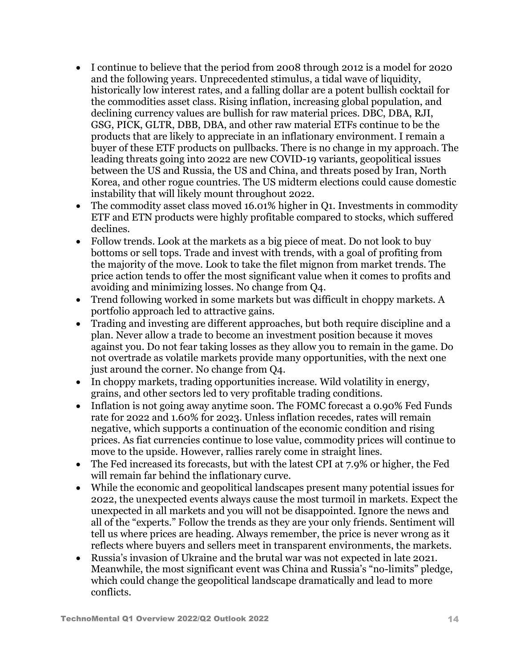- I continue to believe that the period from 2008 through 2012 is a model for 2020 and the following years. Unprecedented stimulus, a tidal wave of liquidity, historically low interest rates, and a falling dollar are a potent bullish cocktail for the commodities asset class. Rising inflation, increasing global population, and declining currency values are bullish for raw material prices. DBC, DBA, RJI, GSG, PICK, GLTR, DBB, DBA, and other raw material ETFs continue to be the products that are likely to appreciate in an inflationary environment. I remain a buyer of these ETF products on pullbacks. There is no change in my approach. The leading threats going into 2022 are new COVID-19 variants, geopolitical issues between the US and Russia, the US and China, and threats posed by Iran, North Korea, and other rogue countries. The US midterm elections could cause domestic instability that will likely mount throughout 2022.
- The commodity asset class moved 16.01% higher in Q1. Investments in commodity ETF and ETN products were highly profitable compared to stocks, which suffered declines.
- Follow trends. Look at the markets as a big piece of meat. Do not look to buy bottoms or sell tops. Trade and invest with trends, with a goal of profiting from the majority of the move. Look to take the filet mignon from market trends. The price action tends to offer the most significant value when it comes to profits and avoiding and minimizing losses. No change from Q4.
- Trend following worked in some markets but was difficult in choppy markets. A portfolio approach led to attractive gains.
- Trading and investing are different approaches, but both require discipline and a plan. Never allow a trade to become an investment position because it moves against you. Do not fear taking losses as they allow you to remain in the game. Do not overtrade as volatile markets provide many opportunities, with the next one just around the corner. No change from Q4.
- In choppy markets, trading opportunities increase. Wild volatility in energy, grains, and other sectors led to very profitable trading conditions.
- Inflation is not going away anytime soon. The FOMC forecast a 0.90% Fed Funds rate for 2022 and 1.60% for 2023. Unless inflation recedes, rates will remain negative, which supports a continuation of the economic condition and rising prices. As fiat currencies continue to lose value, commodity prices will continue to move to the upside. However, rallies rarely come in straight lines.
- The Fed increased its forecasts, but with the latest CPI at 7.9% or higher, the Fed will remain far behind the inflationary curve.
- While the economic and geopolitical landscapes present many potential issues for 2022, the unexpected events always cause the most turmoil in markets. Expect the unexpected in all markets and you will not be disappointed. Ignore the news and all of the "experts." Follow the trends as they are your only friends. Sentiment will tell us where prices are heading. Always remember, the price is never wrong as it reflects where buyers and sellers meet in transparent environments, the markets.
- Russia's invasion of Ukraine and the brutal war was not expected in late 2021. Meanwhile, the most significant event was China and Russia's "no-limits" pledge, which could change the geopolitical landscape dramatically and lead to more conflicts.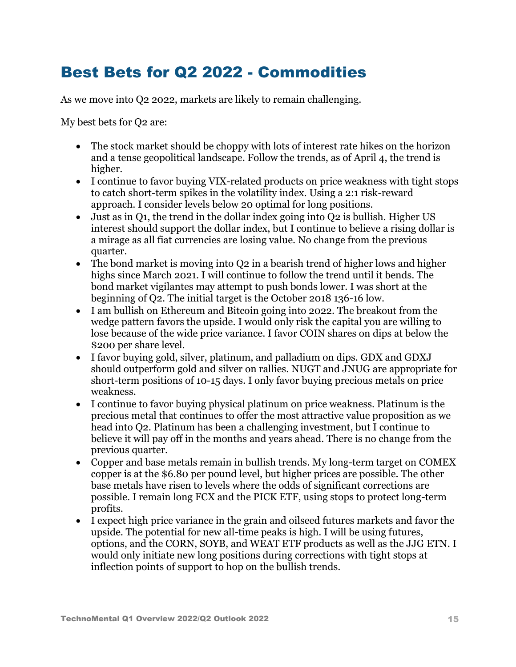## Best Bets for Q2 2022 - Commodities

As we move into Q2 2022, markets are likely to remain challenging.

My best bets for Q2 are:

- The stock market should be choppy with lots of interest rate hikes on the horizon and a tense geopolitical landscape. Follow the trends, as of April 4, the trend is higher.
- I continue to favor buying VIX-related products on price weakness with tight stops to catch short-term spikes in the volatility index. Using a 2:1 risk-reward approach. I consider levels below 20 optimal for long positions.
- Just as in Q1, the trend in the dollar index going into Q2 is bullish. Higher US interest should support the dollar index, but I continue to believe a rising dollar is a mirage as all fiat currencies are losing value. No change from the previous quarter.
- The bond market is moving into Q2 in a bearish trend of higher lows and higher highs since March 2021. I will continue to follow the trend until it bends. The bond market vigilantes may attempt to push bonds lower. I was short at the beginning of Q2. The initial target is the October 2018 136-16 low.
- I am bullish on Ethereum and Bitcoin going into 2022. The breakout from the wedge pattern favors the upside. I would only risk the capital you are willing to lose because of the wide price variance. I favor COIN shares on dips at below the \$200 per share level.
- I favor buying gold, silver, platinum, and palladium on dips. GDX and GDXJ should outperform gold and silver on rallies. NUGT and JNUG are appropriate for short-term positions of 10-15 days. I only favor buying precious metals on price weakness.
- I continue to favor buying physical platinum on price weakness. Platinum is the precious metal that continues to offer the most attractive value proposition as we head into Q2. Platinum has been a challenging investment, but I continue to believe it will pay off in the months and years ahead. There is no change from the previous quarter.
- Copper and base metals remain in bullish trends. My long-term target on COMEX copper is at the \$6.80 per pound level, but higher prices are possible. The other base metals have risen to levels where the odds of significant corrections are possible. I remain long FCX and the PICK ETF, using stops to protect long-term profits.
- I expect high price variance in the grain and oilseed futures markets and favor the upside. The potential for new all-time peaks is high. I will be using futures, options, and the CORN, SOYB, and WEAT ETF products as well as the JJG ETN. I would only initiate new long positions during corrections with tight stops at inflection points of support to hop on the bullish trends.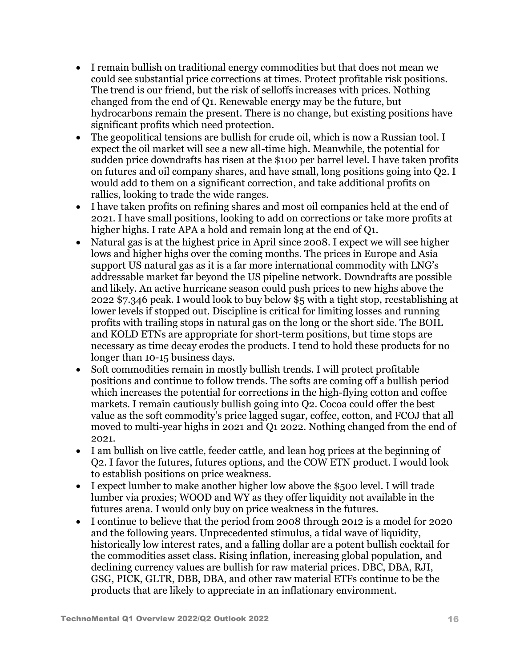- I remain bullish on traditional energy commodities but that does not mean we could see substantial price corrections at times. Protect profitable risk positions. The trend is our friend, but the risk of selloffs increases with prices. Nothing changed from the end of Q1. Renewable energy may be the future, but hydrocarbons remain the present. There is no change, but existing positions have significant profits which need protection.
- The geopolitical tensions are bullish for crude oil, which is now a Russian tool. I expect the oil market will see a new all-time high. Meanwhile, the potential for sudden price downdrafts has risen at the \$100 per barrel level. I have taken profits on futures and oil company shares, and have small, long positions going into Q2. I would add to them on a significant correction, and take additional profits on rallies, looking to trade the wide ranges.
- I have taken profits on refining shares and most oil companies held at the end of 2021. I have small positions, looking to add on corrections or take more profits at higher highs. I rate APA a hold and remain long at the end of Q1.
- Natural gas is at the highest price in April since 2008. I expect we will see higher lows and higher highs over the coming months. The prices in Europe and Asia support US natural gas as it is a far more international commodity with LNG's addressable market far beyond the US pipeline network. Downdrafts are possible and likely. An active hurricane season could push prices to new highs above the 2022 \$7.346 peak. I would look to buy below \$5 with a tight stop, reestablishing at lower levels if stopped out. Discipline is critical for limiting losses and running profits with trailing stops in natural gas on the long or the short side. The BOIL and KOLD ETNs are appropriate for short-term positions, but time stops are necessary as time decay erodes the products. I tend to hold these products for no longer than 10-15 business days.
- Soft commodities remain in mostly bullish trends. I will protect profitable positions and continue to follow trends. The softs are coming off a bullish period which increases the potential for corrections in the high-flying cotton and coffee markets. I remain cautiously bullish going into Q2. Cocoa could offer the best value as the soft commodity's price lagged sugar, coffee, cotton, and FCOJ that all moved to multi-year highs in 2021 and Q1 2022. Nothing changed from the end of 2021.
- I am bullish on live cattle, feeder cattle, and lean hog prices at the beginning of Q2. I favor the futures, futures options, and the COW ETN product. I would look to establish positions on price weakness.
- I expect lumber to make another higher low above the \$500 level. I will trade lumber via proxies; WOOD and WY as they offer liquidity not available in the futures arena. I would only buy on price weakness in the futures.
- I continue to believe that the period from 2008 through 2012 is a model for 2020 and the following years. Unprecedented stimulus, a tidal wave of liquidity, historically low interest rates, and a falling dollar are a potent bullish cocktail for the commodities asset class. Rising inflation, increasing global population, and declining currency values are bullish for raw material prices. DBC, DBA, RJI, GSG, PICK, GLTR, DBB, DBA, and other raw material ETFs continue to be the products that are likely to appreciate in an inflationary environment.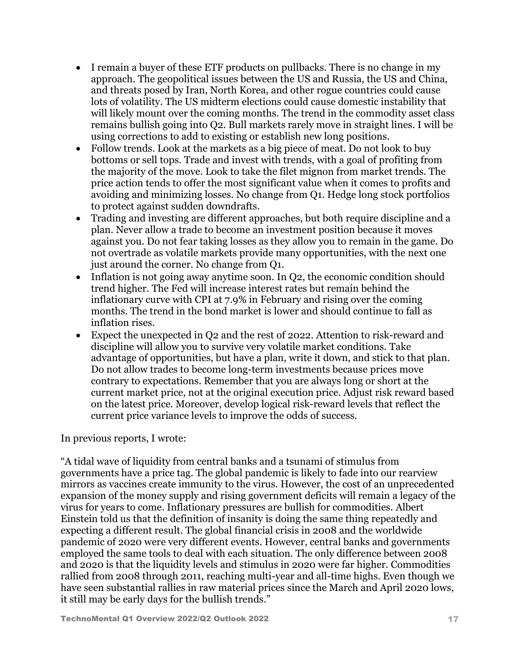- I remain a buyer of these ETF products on pullbacks. There is no change in my approach. The geopolitical issues between the US and Russia, the US and China, and threats posed by Iran, North Korea, and other rogue countries could cause lots of volatility. The US midterm elections could cause domestic instability that will likely mount over the coming months. The trend in the commodity asset class remains bullish going into Q2. Bull markets rarely move in straight lines. I will be using corrections to add to existing or establish new long positions.
- Follow trends. Look at the markets as a big piece of meat. Do not look to buy bottoms or sell tops. Trade and invest with trends, with a goal of profiting from the majority of the move. Look to take the filet mignon from market trends. The price action tends to offer the most significant value when it comes to profits and avoiding and minimizing losses. No change from Q1. Hedge long stock portfolios to protect against sudden downdrafts.
- Trading and investing are different approaches, but both require discipline and a plan. Never allow a trade to become an investment position because it moves against you. Do not fear taking losses as they allow you to remain in the game. Do not overtrade as volatile markets provide many opportunities, with the next one just around the corner. No change from Q1.
- Inflation is not going away anytime soon. In Q2, the economic condition should trend higher. The Fed will increase interest rates but remain behind the inflationary curve with CPI at 7.9% in February and rising over the coming months. The trend in the bond market is lower and should continue to fall as inflation rises.
- Expect the unexpected in Q2 and the rest of 2022. Attention to risk-reward and discipline will allow you to survive very volatile market conditions. Take advantage of opportunities, but have a plan, write it down, and stick to that plan. Do not allow trades to become long-term investments because prices move contrary to expectations. Remember that you are always long or short at the current market price, not at the original execution price. Adjust risk reward based on the latest price. Moreover, develop logical risk-reward levels that reflect the current price variance levels to improve the odds of success.

#### In previous reports, I wrote:

"A tidal wave of liquidity from central banks and a tsunami of stimulus from governments have a price tag. The global pandemic is likely to fade into our rearview mirrors as vaccines create immunity to the virus. However, the cost of an unprecedented expansion of the money supply and rising government deficits will remain a legacy of the virus for years to come. Inflationary pressures are bullish for commodities. Albert Einstein told us that the definition of insanity is doing the same thing repeatedly and expecting a different result. The global financial crisis in 2008 and the worldwide pandemic of 2020 were very different events. However, central banks and governments employed the same tools to deal with each situation. The only difference between 2008 and 2020 is that the liquidity levels and stimulus in 2020 were far higher. Commodities rallied from 2008 through 2011, reaching multi-year and all-time highs. Even though we have seen substantial rallies in raw material prices since the March and April 2020 lows, it still may be early days for the bullish trends."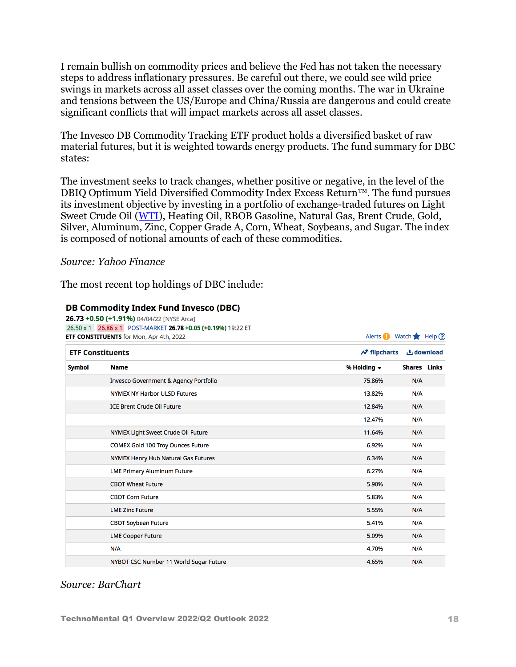I remain bullish on commodity prices and believe the Fed has not taken the necessary steps to address inflationary pressures. Be careful out there, we could see wild price swings in markets across all asset classes over the coming months. The war in Ukraine and tensions between the US/Europe and China/Russia are dangerous and could create significant conflicts that will impact markets across all asset classes.

The Invesco DB Commodity Tracking ETF product holds a diversified basket of raw material futures, but it is weighted towards energy products. The fund summary for DBC states:

The investment seeks to track changes, whether positive or negative, in the level of the DBIQ Optimum Yield Diversified Commodity Index Excess Return™. The fund pursues its investment objective by investing in a portfolio of exchange-traded futures on Light Sweet Crude Oil [\(WTI\)](https://seekingalpha.com/symbol/WTI), Heating Oil, RBOB Gasoline, Natural Gas, Brent Crude, Gold, Silver, Aluminum, Zinc, Copper Grade A, Corn, Wheat, Soybeans, and Sugar. The index is composed of notional amounts of each of these commodities.

#### *Source: Yahoo Finance*

The most recent top holdings of DBC include:

#### **DB Commodity Index Fund Invesco (DBC)**

| 26.73 +0.50 (+1.91%) 04/04/22 [NYSE Arca] |
|-------------------------------------------|
|                                           |

|                         | <b>ETF CONSTITUENTS</b> for Mon, Apr 4th, 2022 | Alerts Watch Help ? |                                               |                     |  |
|-------------------------|------------------------------------------------|---------------------|-----------------------------------------------|---------------------|--|
| <b>ETF Constituents</b> |                                                |                     | $\mathcal{N}$ flipcharts<br><b>上</b> download |                     |  |
| <b>Symbol</b>           | <b>Name</b>                                    | % Holding $\sim$    |                                               | <b>Shares</b> Links |  |
|                         | Invesco Government & Agency Portfolio          | 75.86%              | N/A                                           |                     |  |
|                         | <b>NYMEX NY Harbor ULSD Futures</b>            | 13.82%              | N/A                                           |                     |  |
|                         | <b>ICE Brent Crude Oil Future</b>              | 12.84%              | N/A                                           |                     |  |
|                         |                                                | 12.47%              | N/A                                           |                     |  |
|                         | NYMEX Light Sweet Crude Oil Future             | 11.64%              | N/A                                           |                     |  |
|                         | COMEX Gold 100 Troy Ounces Future              | 6.92%               | N/A                                           |                     |  |
|                         | NYMEX Henry Hub Natural Gas Futures            | 6.34%               | N/A                                           |                     |  |
|                         | <b>LME Primary Aluminum Future</b>             | 6.27%               | N/A                                           |                     |  |
|                         | <b>CBOT Wheat Future</b>                       | 5.90%               | N/A                                           |                     |  |
|                         | <b>CBOT Corn Future</b>                        | 5.83%               | N/A                                           |                     |  |
|                         | <b>LME Zinc Future</b>                         | 5.55%               | N/A                                           |                     |  |
|                         | <b>CBOT Soybean Future</b>                     | 5.41%               | N/A                                           |                     |  |
|                         | <b>LME Copper Future</b>                       | 5.09%               | N/A                                           |                     |  |
|                         | N/A                                            | 4.70%               | N/A                                           |                     |  |
|                         | NYBOT CSC Number 11 World Sugar Future         | 4.65%               | N/A                                           |                     |  |

26 EQ v 1 26 96 v 1 DOCT MADVET 26 79 +0 05 (+0 1004) 10:22 ET

#### *Source: BarChart*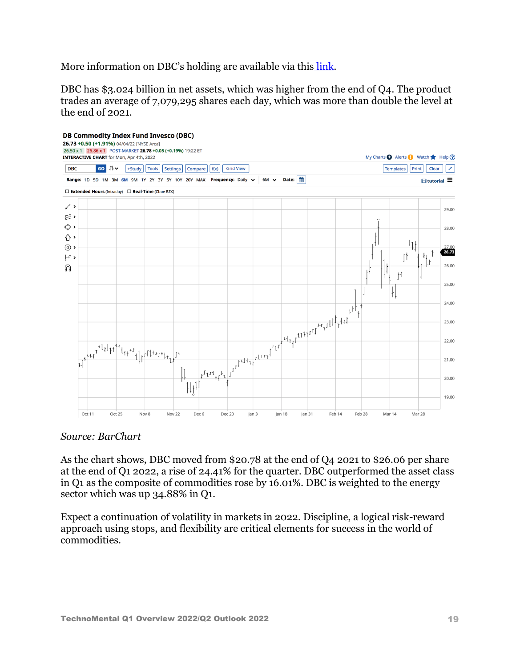More information on DBC's holding are available via this [link.](https://www.barchart.com/etfs-funds/quotes/DBC/constituents)

DBC has \$3.024 billion in net assets, which was higher from the end of Q4. The product trades an average of 7,079,295 shares each day, which was more than double the level at the end of 2021.



#### *Source: BarChart*

As the chart shows, DBC moved from \$20.78 at the end of Q4 2021 to \$26.06 per share at the end of Q1 2022, a rise of 24.41% for the quarter. DBC outperformed the asset class in Q1 as the composite of commodities rose by 16.01%. DBC is weighted to the energy sector which was up 34.88% in Q1.

Expect a continuation of volatility in markets in 2022. Discipline, a logical risk-reward approach using stops, and flexibility are critical elements for success in the world of commodities.